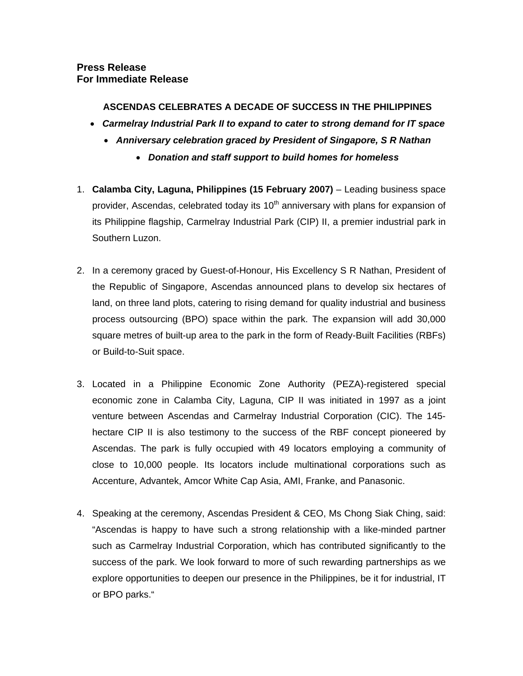## **Press Release For Immediate Release**

# **ASCENDAS CELEBRATES A DECADE OF SUCCESS IN THE PHILIPPINES**

- *Carmelray Industrial Park II to expand to cater to strong demand for IT space* 
	- *Anniversary celebration graced by President of Singapore, S R Nathan*
		- *Donation and staff support to build homes for homeless*
- 1. **Calamba City, Laguna, Philippines (15 February 2007)** Leading business space provider, Ascendas, celebrated today its  $10<sup>th</sup>$  anniversary with plans for expansion of its Philippine flagship, Carmelray Industrial Park (CIP) II, a premier industrial park in Southern Luzon.
- 2. In a ceremony graced by Guest-of-Honour, His Excellency S R Nathan, President of the Republic of Singapore, Ascendas announced plans to develop six hectares of land, on three land plots, catering to rising demand for quality industrial and business process outsourcing (BPO) space within the park. The expansion will add 30,000 square metres of built-up area to the park in the form of Ready-Built Facilities (RBFs) or Build-to-Suit space.
- 3. Located in a Philippine Economic Zone Authority (PEZA)-registered special economic zone in Calamba City, Laguna, CIP II was initiated in 1997 as a joint venture between Ascendas and Carmelray Industrial Corporation (CIC). The 145 hectare CIP II is also testimony to the success of the RBF concept pioneered by Ascendas. The park is fully occupied with 49 locators employing a community of close to 10,000 people. Its locators include multinational corporations such as Accenture, Advantek, Amcor White Cap Asia, AMI, Franke, and Panasonic.
- 4. Speaking at the ceremony, Ascendas President & CEO, Ms Chong Siak Ching, said: "Ascendas is happy to have such a strong relationship with a like-minded partner such as Carmelray Industrial Corporation, which has contributed significantly to the success of the park. We look forward to more of such rewarding partnerships as we explore opportunities to deepen our presence in the Philippines, be it for industrial, IT or BPO parks."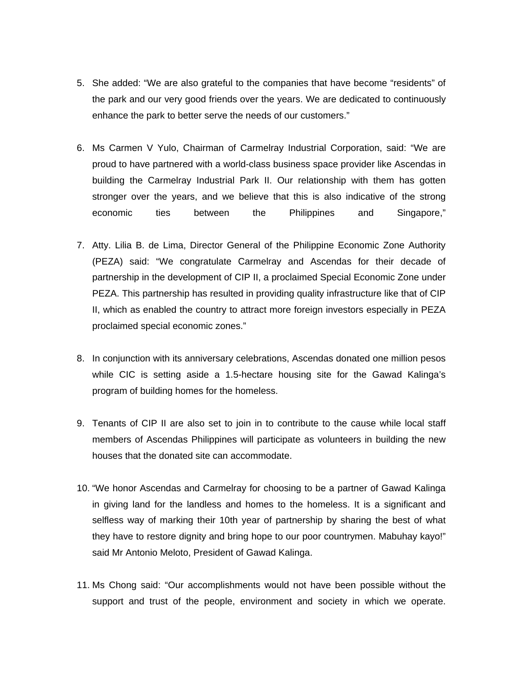- 5. She added: "We are also grateful to the companies that have become "residents" of the park and our very good friends over the years. We are dedicated to continuously enhance the park to better serve the needs of our customers."
- 6. Ms Carmen V Yulo, Chairman of Carmelray Industrial Corporation, said: "We are proud to have partnered with a world-class business space provider like Ascendas in building the Carmelray Industrial Park II. Our relationship with them has gotten stronger over the years, and we believe that this is also indicative of the strong economic ties between the Philippines and Singapore,"
- 7. Atty. Lilia B. de Lima, Director General of the Philippine Economic Zone Authority (PEZA) said: "We congratulate Carmelray and Ascendas for their decade of partnership in the development of CIP II, a proclaimed Special Economic Zone under PEZA. This partnership has resulted in providing quality infrastructure like that of CIP II, which as enabled the country to attract more foreign investors especially in PEZA proclaimed special economic zones."
- 8. In conjunction with its anniversary celebrations, Ascendas donated one million pesos while CIC is setting aside a 1.5-hectare housing site for the Gawad Kalinga's program of building homes for the homeless.
- 9. Tenants of CIP II are also set to join in to contribute to the cause while local staff members of Ascendas Philippines will participate as volunteers in building the new houses that the donated site can accommodate.
- 10. "We honor Ascendas and Carmelray for choosing to be a partner of Gawad Kalinga in giving land for the landless and homes to the homeless. It is a significant and selfless way of marking their 10th year of partnership by sharing the best of what they have to restore dignity and bring hope to our poor countrymen. Mabuhay kayo!" said Mr Antonio Meloto, President of Gawad Kalinga.
- 11. Ms Chong said: "Our accomplishments would not have been possible without the support and trust of the people, environment and society in which we operate.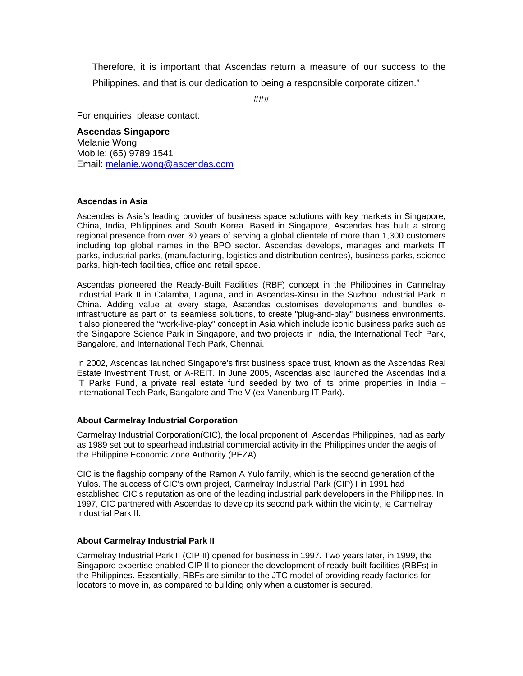Therefore, it is important that Ascendas return a measure of our success to the Philippines, and that is our dedication to being a responsible corporate citizen."

###

For enquiries, please contact:

### **Ascendas Singapore**

Melanie Wong Mobile: (65) 9789 1541 Email: melanie.wong@ascendas.com

### **Ascendas in Asia**

Ascendas is Asia's leading provider of business space solutions with key markets in Singapore, China, India, Philippines and South Korea. Based in Singapore, Ascendas has built a strong regional presence from over 30 years of serving a global clientele of more than 1,300 customers including top global names in the BPO sector. Ascendas develops, manages and markets IT parks, industrial parks, (manufacturing, logistics and distribution centres), business parks, science parks, high-tech facilities, office and retail space.

Ascendas pioneered the Ready-Built Facilities (RBF) concept in the Philippines in Carmelray Industrial Park II in Calamba, Laguna, and in Ascendas-Xinsu in the Suzhou Industrial Park in China. Adding value at every stage, Ascendas customises developments and bundles einfrastructure as part of its seamless solutions, to create "plug-and-play" business environments. It also pioneered the "work-live-play" concept in Asia which include iconic business parks such as the Singapore Science Park in Singapore, and two projects in India, the International Tech Park, Bangalore, and International Tech Park, Chennai.

In 2002, Ascendas launched Singapore's first business space trust, known as the Ascendas Real Estate Investment Trust, or A-REIT. In June 2005, Ascendas also launched the Ascendas India IT Parks Fund, a private real estate fund seeded by two of its prime properties in India – International Tech Park, Bangalore and The V (ex-Vanenburg IT Park).

### **About Carmelray Industrial Corporation**

Carmelray Industrial Corporation(CIC), the local proponent of Ascendas Philippines, had as early as 1989 set out to spearhead industrial commercial activity in the Philippines under the aegis of the Philippine Economic Zone Authority (PEZA).

CIC is the flagship company of the Ramon A Yulo family, which is the second generation of the Yulos. The success of CIC's own project, Carmelray Industrial Park (CIP) I in 1991 had established CIC's reputation as one of the leading industrial park developers in the Philippines. In 1997, CIC partnered with Ascendas to develop its second park within the vicinity, ie Carmelray Industrial Park II.

#### **About Carmelray Industrial Park II**

Carmelray Industrial Park II (CIP II) opened for business in 1997. Two years later, in 1999, the Singapore expertise enabled CIP II to pioneer the development of ready-built facilities (RBFs) in the Philippines. Essentially, RBFs are similar to the JTC model of providing ready factories for locators to move in, as compared to building only when a customer is secured.